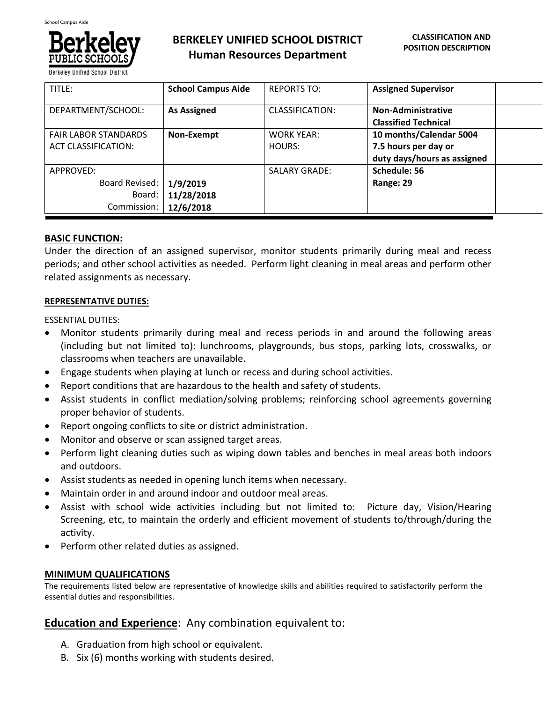

**Berkeley Unified School Distric** 

# **BERKELEY UNIFIED SCHOOL DISTRICT Human Resources Department**

| TITLE:                                                    | <b>School Campus Aide</b>           | <b>REPORTS TO:</b>                 | <b>Assigned Supervisor</b>                                                     |  |
|-----------------------------------------------------------|-------------------------------------|------------------------------------|--------------------------------------------------------------------------------|--|
| DEPARTMENT/SCHOOL:                                        | <b>As Assigned</b>                  | CLASSIFICATION:                    | <b>Non-Administrative</b><br><b>Classified Technical</b>                       |  |
| <b>FAIR LABOR STANDARDS</b><br><b>ACT CLASSIFICATION:</b> | Non-Exempt                          | <b>WORK YEAR:</b><br><b>HOURS:</b> | 10 months/Calendar 5004<br>7.5 hours per day or<br>duty days/hours as assigned |  |
| APPROVED:<br>Board Revised:<br>Board:<br>Commission:      | 1/9/2019<br>11/28/2018<br>12/6/2018 | <b>SALARY GRADE:</b>               | Schedule: 56<br>Range: 29                                                      |  |

## **BASIC FUNCTION:**

Under the direction of an assigned supervisor, monitor students primarily during meal and recess periods; and other school activities as needed. Perform light cleaning in meal areas and perform other related assignments as necessary.

### **REPRESENTATIVE DUTIES:**

ESSENTIAL DUTIES:

- Monitor students primarily during meal and recess periods in and around the following areas (including but not limited to): lunchrooms, playgrounds, bus stops, parking lots, crosswalks, or classrooms when teachers are unavailable.
- Engage students when playing at lunch or recess and during school activities.
- Report conditions that are hazardous to the health and safety of students.
- Assist students in conflict mediation/solving problems; reinforcing school agreements governing proper behavior of students.
- Report ongoing conflicts to site or district administration.
- Monitor and observe or scan assigned target areas.
- Perform light cleaning duties such as wiping down tables and benches in meal areas both indoors and outdoors.
- Assist students as needed in opening lunch items when necessary.
- Maintain order in and around indoor and outdoor meal areas.
- Assist with school wide activities including but not limited to: Picture day, Vision/Hearing Screening, etc, to maintain the orderly and efficient movement of students to/through/during the activity.
- Perform other related duties as assigned.

## **MINIMUM QUALIFICATIONS**

The requirements listed below are representative of knowledge skills and abilities required to satisfactorily perform the essential duties and responsibilities.

## **Education and Experience**: Any combination equivalent to:

- A. Graduation from high school or equivalent.
- B. Six (6) months working with students desired.